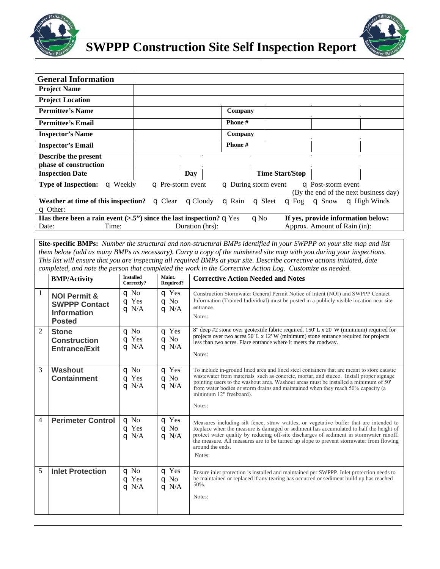



| <b>General Information</b>                                                                                                   |                        |                              |                            |                                       |  |
|------------------------------------------------------------------------------------------------------------------------------|------------------------|------------------------------|----------------------------|---------------------------------------|--|
| <b>Project Name</b>                                                                                                          |                        |                              |                            |                                       |  |
| <b>Project Location</b>                                                                                                      |                        |                              |                            |                                       |  |
| <b>Permittee's Name</b>                                                                                                      |                        | Company                      |                            |                                       |  |
| <b>Permittee's Email</b>                                                                                                     |                        | Phone #                      |                            |                                       |  |
| <b>Inspector's Name</b>                                                                                                      |                        | Company                      |                            |                                       |  |
| <b>Inspector's Email</b>                                                                                                     |                        | Phone #                      |                            |                                       |  |
| Describe the present                                                                                                         |                        |                              |                            |                                       |  |
| phase of construction                                                                                                        |                        |                              |                            |                                       |  |
| <b>Inspection Date</b>                                                                                                       | Day                    |                              | <b>Time Start/Stop</b>     |                                       |  |
| <b>Type of Inspection:</b><br>$\sigma$ Weekly                                                                                | $\Box$ Pre-storm event |                              | $\Box$ During storm event  | $\Box$ Post-storm event               |  |
|                                                                                                                              |                        |                              |                            | (By the end of the next business day) |  |
| Weather at time of this inspection?                                                                                          | $\Box$ Clear           | $\Box$ Rain<br>$\Box$ Cloudy | $\Box$ Sleet<br>$\Box$ Fog | $\Box$ Snow<br>$\sigma$ High Winds    |  |
| $\Box$ Other:                                                                                                                |                        |                              |                            |                                       |  |
| Has there been a rain event $(>5")$ since the last inspection? $\Box$ Yes<br>If yes, provide information below:<br>$\Box$ No |                        |                              |                            |                                       |  |
| Date:<br>Time:                                                                                                               |                        | Duration (hrs):              |                            | Approx. Amount of Rain (in):          |  |

**Site-specific BMPs:** *Number the structural and non-structural BMPs identified in your SWPPP on your site map and list them below (add as many BMPs as necessary). Carry a copy of the numbered site map with you during your inspections. This list will ensure that you are inspecting all required BMPs at your site. Describe corrective actions initiated, date completed, and note the person that completed the work in the Corrective Action Log. Customize as needed.*

|                | <b>BMP/Activity</b>                                                                    | <b>Installed</b><br>Correctly?             | Maint.<br><b>Required?</b>                 | <b>Corrective Action Needed and Notes</b>                                                                                                                                                                                                                                                                                                                                                                       |
|----------------|----------------------------------------------------------------------------------------|--------------------------------------------|--------------------------------------------|-----------------------------------------------------------------------------------------------------------------------------------------------------------------------------------------------------------------------------------------------------------------------------------------------------------------------------------------------------------------------------------------------------------------|
| 1              | <b>NOI Permit &amp;</b><br><b>SWPPP Contact</b><br><b>Information</b><br><b>Posted</b> | $\Box$ No<br>$\subset$ Yes<br>$\sigma$ N/A | $\subseteq$ Yes<br>$\Box$ No<br>$Q \ N/A$  | Construction Stormwater General Permit Notice of Intent (NOI) and SWPPP Contact<br>Information (Trained Individual) must be posted in a publicly visible location near site<br>entrance.<br>Notes:                                                                                                                                                                                                              |
| $\mathfrak{D}$ | <b>Stone</b><br><b>Construction</b><br><b>Entrance/Exit</b>                            | $\Box$ No<br>$\sigma$ Yes<br>$Q$ N/A       | $\Box$ Yes<br>$\Box$ No<br>$\sigma$ N/A    | 8" deep #2 stone over geotextile fabric required. 150' L x 20' W (minimum) required for<br>projects over two acres.50' L $x$ 12' W (minimum) stone entrance required for projects<br>less than two acres. Flare entrance where it meets the roadway.<br>Notes:                                                                                                                                                  |
| 3              | <b>Washout</b><br><b>Containment</b>                                                   | $q$ No<br>$\subset$ Yes<br>$\sigma$ N/A    | $\subset$ Yes<br>$\Box$ No<br>$\sigma$ N/A | To include in-ground lined area and lined steel containers that are meant to store caustic<br>was tewater from materials such as concrete, mortar, and stucco. Install proper signage<br>pointing users to the washout area. Washout areas must be installed a minimum of $50^{\circ}$<br>from water bodies or storm drains and maintained when they reach 50% capacity (a<br>minimum 12" freeboard).<br>Notes: |
| 4              | <b>Perimeter Control</b>                                                               | $\Box$ No<br>$\subset$ Yes<br>$Q$ N/A      | $q$ Yes<br>$\Box$ No<br>$Q$ N/A            | Measures including silt fence, straw wattles, or vegetative buffer that are intended to<br>Replace when the measure is damaged or sediment has accumulated to half the height of<br>protect water quality by reducing off-site discharges of sediment in stormwater runoff.<br>the measure. All measures are to be turned up slope to prevent stormwater from flowing<br>around the ends.<br>Notes:             |
| 5              | <b>Inlet Protection</b>                                                                | $q$ No<br>$\subset$ Yes<br>$Q$ N/A         | $\Box$ Yes<br>$\Box$ No<br>$Q$ N/A         | Ensure inlet protection is installed and maintained per SWPPP. Inlet protection needs to<br>be maintained or replaced if any tearing has occurred or sediment build up has reached<br>50%.<br>Notes:                                                                                                                                                                                                            |